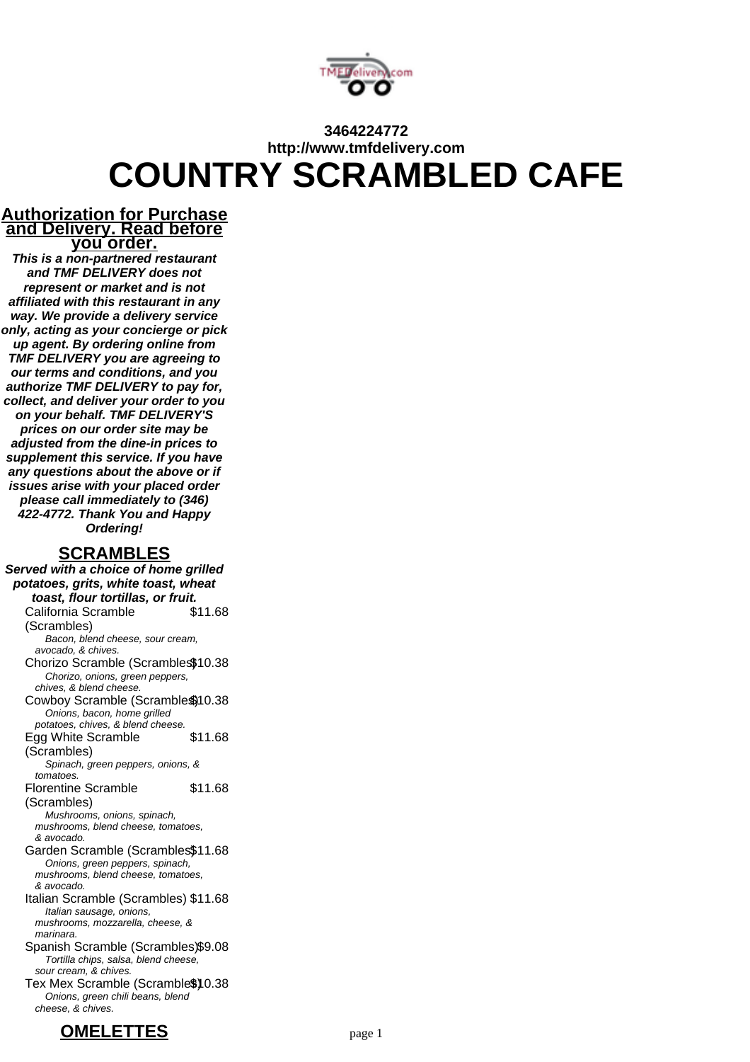

# **3464224772 http://www.tmfdelivery.com COUNTRY SCRAMBLED CAFE**

### **Authorization for Purchase and Delivery. Read before you order.**

**This is a non-partnered restaurant and TMF DELIVERY does not represent or market and is not affiliated with this restaurant in any way. We provide a delivery service only, acting as your concierge or pick up agent. By ordering online from TMF DELIVERY you are agreeing to our terms and conditions, and you authorize TMF DELIVERY to pay for, collect, and deliver your order to you on your behalf. TMF DELIVERY'S prices on our order site may be adjusted from the dine-in prices to supplement this service. If you have any questions about the above or if issues arise with your placed order please call immediately to (346) 422-4772. Thank You and Happy Ordering!**

# **SCRAMBLES**

**Served with a choice of home grilled potatoes, grits, white toast, wheat toast, flour tortillas, or fruit.** California Scramble (Scrambles) \$11.68 Bacon, blend cheese, sour cream, avocado, & chives. Chorizo Scramble (Scrambles\$10.38 Chorizo, onions, green peppers, chives, & blend cheese. Cowboy Scramble (Scramble\$) 10.38 Onions, bacon, home grilled potatoes, chives, & blend cheese. Egg White Scramble (Scrambles) \$11.68 Spinach, green peppers, onions, & tomatoes. Florentine Scramble (Scrambles) \$11.68 Mushrooms, onions, spinach, mushrooms, blend cheese, tomatoes, & avocado. Garden Scramble (Scrambles\$11.68 Onions, green peppers, spinach, mushrooms, blend cheese, tomatoes, & avocado. Italian Scramble (Scrambles) \$11.68 Italian sausage, onions, mushrooms, mozzarella, cheese, & marinara. Spanish Scramble (Scrambles)\$9.08 Tortilla chips, salsa, blend cheese, sour cream, & chives. Tex Mex Scramble (Scramble\$) 0.38 Onions, green chili beans, blend cheese, & chives.

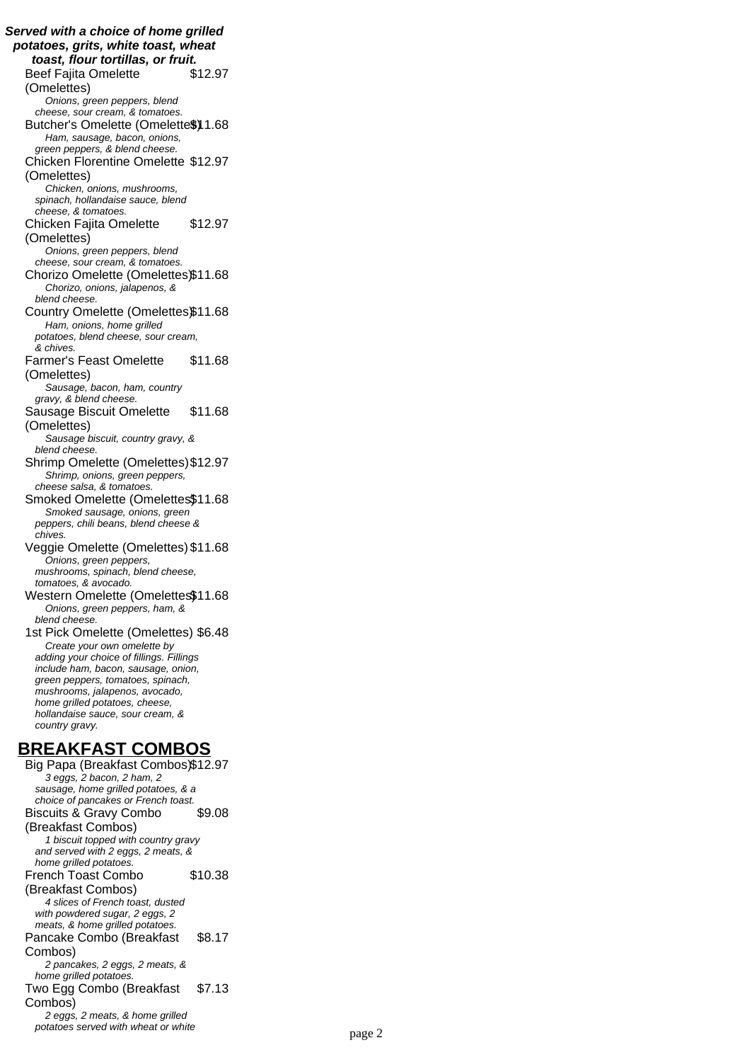**Served with a choice of home grilled potatoes, grits, white toast, wheat toast, flour tortillas, or fruit.** Beef Fajita Omelette (Omelettes) \$12.97 Onions, green peppers, blend cheese, sour cream, & tomatoes. Butcher's Omelette (Omelette\$)1.68 Ham, sausage, bacon, onions, green peppers, & blend cheese. Chicken Florentine Omelette \$12.97 (Omelettes) Chicken, onions, mushrooms, spinach, hollandaise sauce, blend cheese, & tomatoes. Chicken Fajita Omelette (Omelettes) \$12.97 Onions, green peppers, blend cheese, sour cream, & tomatoes. Chorizo Omelette (Omelettes)\$11.68 Chorizo, onions, jalapenos, & blend cheese. Country Omelette (Omelettes)\$11.68 Ham, onions, home grilled potatoes, blend cheese, sour cream, & chives. Farmer's Feast Omelette (Omelettes) \$11.68 Sausage, bacon, ham, country gravy, & blend cheese. Sausage Biscuit Omelette (Omelettes) \$11.68 Sausage biscuit, country gravy, & blend cheese. Shrimp Omelette (Omelettes)\$12.97 Shrimp, onions, green peppers, cheese salsa, & tomatoes. Smoked Omelette (Omelettes\$11.68 Smoked sausage, onions, green peppers, chili beans, blend cheese & chives. Veggie Omelette (Omelettes) \$11.68 Onions, green peppers, mushrooms, spinach, blend cheese, tomatoes, & avocado. Western Omelette (Omelettes\$11.68 Onions, green peppers, ham, & blend cheese. 1st Pick Omelette (Omelettes) \$6.48 Create your own omelette by adding your choice of fillings. Fillings include ham, bacon, sausage, onion, green peppers, tomatoes, spinach, mushrooms, jalapenos, avocado, home grilled potatoes, cheese, hollandaise sauce, sour cream, & country gravy. **BREAKFAST COMBOS** Big Papa (Breakfast Combos)\$12.97

3 eggs, 2 bacon, 2 ham, 2 sausage, home grilled potatoes, & a choice of pancakes or French toast. Biscuits & Gravy Combo (Breakfast Combos) \$9.08 1 biscuit topped with country gravy and served with 2 eggs, 2 meats, & home grilled potatoes. French Toast Combo (Breakfast Combos) \$10.38 4 slices of French toast, dusted with powdered sugar, 2 eggs, 2 meats, & home grilled potatoes. Pancake Combo (Breakfast Combos) \$8.17 2 pancakes, 2 eggs, 2 meats, & home grilled potatoes. Two Egg Combo (Breakfast Combos) \$7.13 2 eggs, 2 meats, & home grilled potatoes served with wheat or white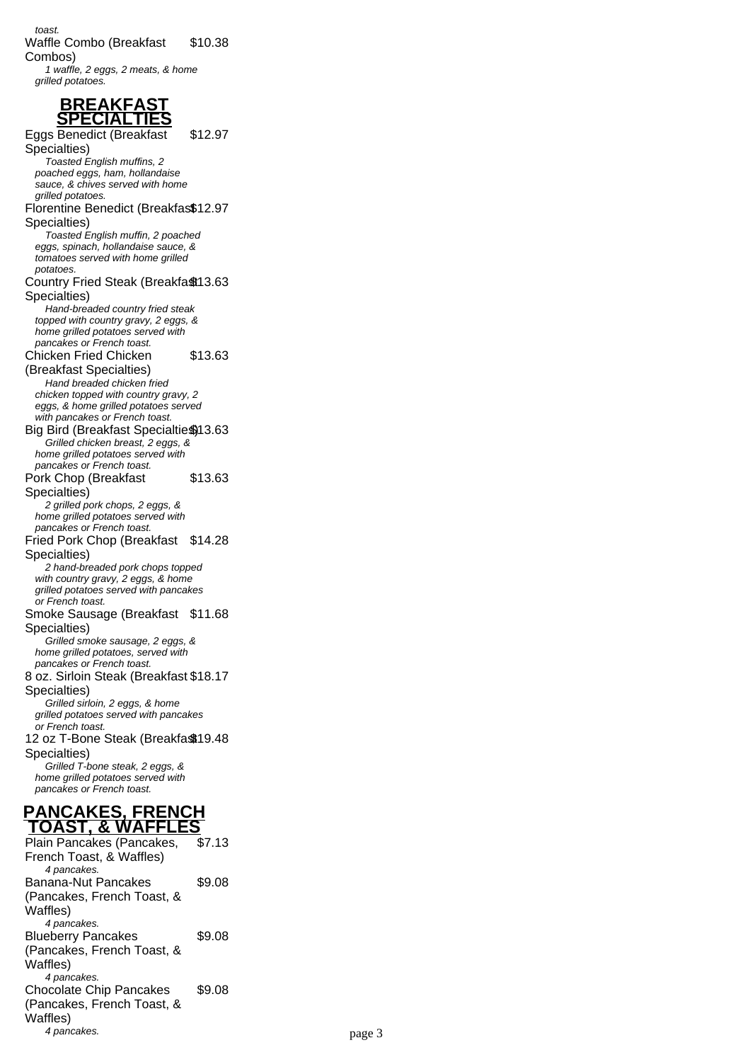# **BREAKFAST SPECIALTIES**

Eggs Benedict (Breakfast Specialties) \$12.97 Toasted English muffins, 2 poached eggs, ham, hollandaise sauce, & chives served with home grilled potatoes. Florentine Benedict (Breakfas\$12.97 Specialties) Toasted English muffin, 2 poached eggs, spinach, hollandaise sauce, & tomatoes served with home grilled potatoes. Country Fried Steak (Breakfa \$13.63 Specialties) Hand-breaded country fried steak topped with country gravy, 2 eggs, & home grilled potatoes served with pancakes or French toast. Chicken Fried Chicken (Breakfast Specialties) \$13.63 Hand breaded chicken fried chicken topped with country gravy, 2 eggs, & home grilled potatoes served with pancakes or French toast. Big Bird (Breakfast Specialties) 13.63 Grilled chicken breast, 2 eggs, & home grilled potatoes served with pancakes or French toast. Pork Chop (Breakfast Specialties) \$13.63 2 grilled pork chops, 2 eggs, & home grilled potatoes served with pancakes or French toast. Fried Pork Chop (Breakfast \$14.28 Specialties) 2 hand-breaded pork chops topped with country gravy, 2 eggs, & home grilled potatoes served with pancakes or French toast. Smoke Sausage (Breakfast \$11.68 Specialties) Grilled smoke sausage, 2 eggs, & home grilled potatoes, served with pancakes or French toast. 8 oz. Sirloin Steak (Breakfast \$18.17 Specialties) Grilled sirloin, 2 eggs, & home grilled potatoes served with pancakes or French toast. 12 oz T-Bone Steak (Breakfa\$19.48 Specialties) Grilled T-bone steak, 2 eggs, & home grilled potatoes served with pancakes or French toast. **PANCAKES, FRENCH TOAST, & WAFFLES** Plain Pancakes (Pancakes, \$7.13

French Toast, & Waffles) 4 pancakes. Banana-Nut Pancakes (Pancakes, French Toast, & Waffles) \$9.08 4 pancakes. Blueberry Pancakes (Pancakes, French Toast, & Waffles) \$9.08 4 pancakes. Chocolate Chip Pancakes (Pancakes, French Toast, & Waffles) \$9.08 4 pancakes. page 3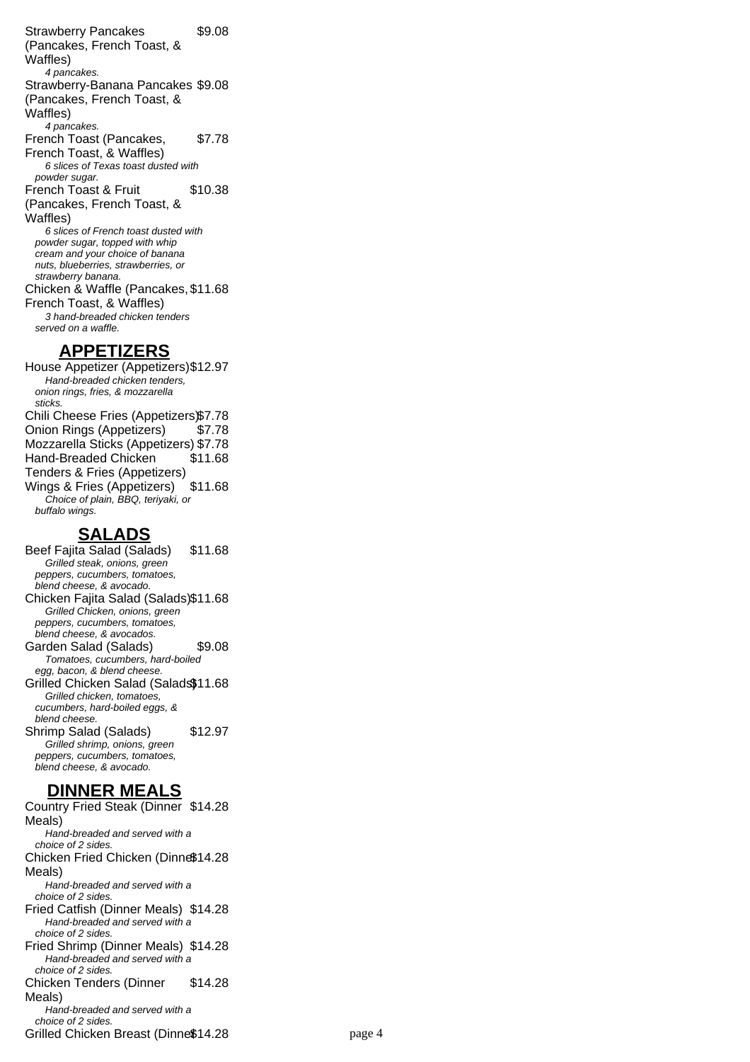Strawberry Pancakes (Pancakes, French Toast, & Waffles) \$9.08 4 pancakes. Strawberry-Banana Pancakes \$9.08 (Pancakes, French Toast, & Waffles) 4 pancakes. French Toast (Pancakes, French Toast, & Waffles) \$7.78 6 slices of Texas toast dusted with powder sugar. French Toast & Fruit (Pancakes, French Toast, & Waffles) \$10.38 6 slices of French toast dusted with powder sugar, topped with whip cream and your choice of banana nuts, blueberries, strawberries, or strawberry banana. Chicken & Waffle (Pancakes, \$11.68 French Toast, & Waffles) 3 hand-breaded chicken tenders served on a waffle. **APPETIZERS**

House Appetizer (Appetizers)\$12.97 Hand-breaded chicken tenders, onion rings, fries, & mozzarella sticks. Chili Cheese Fries (Appetizers)\$7.78 Onion Rings (Appetizers) \$7.78 Mozzarella Sticks (Appetizers) \$7.78 Hand-Breaded Chicken Tenders & Fries (Appetizers) \$11.68 Wings & Fries (Appetizers) \$11.68 Choice of plain, BBQ, teriyaki, or buffalo wings.

## **SALADS**

Beef Fajita Salad (Salads) \$11.68 Grilled steak, onions, green peppers, cucumbers, tomatoes, blend cheese, & avocado. Chicken Fajita Salad (Salads)\$11.68 Grilled Chicken, onions, green peppers, cucumbers, tomatoes, blend cheese, & avocados. Garden Salad (Salads) \$9.08 Tomatoes, cucumbers, hard-boiled egg, bacon, & blend cheese. Grilled Chicken Salad (Salads\$11.68 Grilled chicken, tomatoes, cucumbers, hard-boiled eggs, & blend cheese. Shrimp Salad (Salads) \$12.97 Grilled shrimp, onions, green peppers, cucumbers, tomatoes, blend cheese, & avocado.

# **DINNER MEALS**

Country Fried Steak (Dinner \$14.28 Meals) Hand-breaded and served with a choice of 2 sides. Chicken Fried Chicken (Dinne\$14.28 Meals) Hand-breaded and served with a choice of 2 sides. Fried Catfish (Dinner Meals) \$14.28 Hand-breaded and served with a choice of 2 sides. Fried Shrimp (Dinner Meals) \$14.28 Hand-breaded and served with a choice of 2 sides. Chicken Tenders (Dinner Meals) \$14.28  $H$ <sub>and-</sub>breaded and served with a choice of 2 sides. Grilled Chicken Breast (Dinne\$14.28 page 4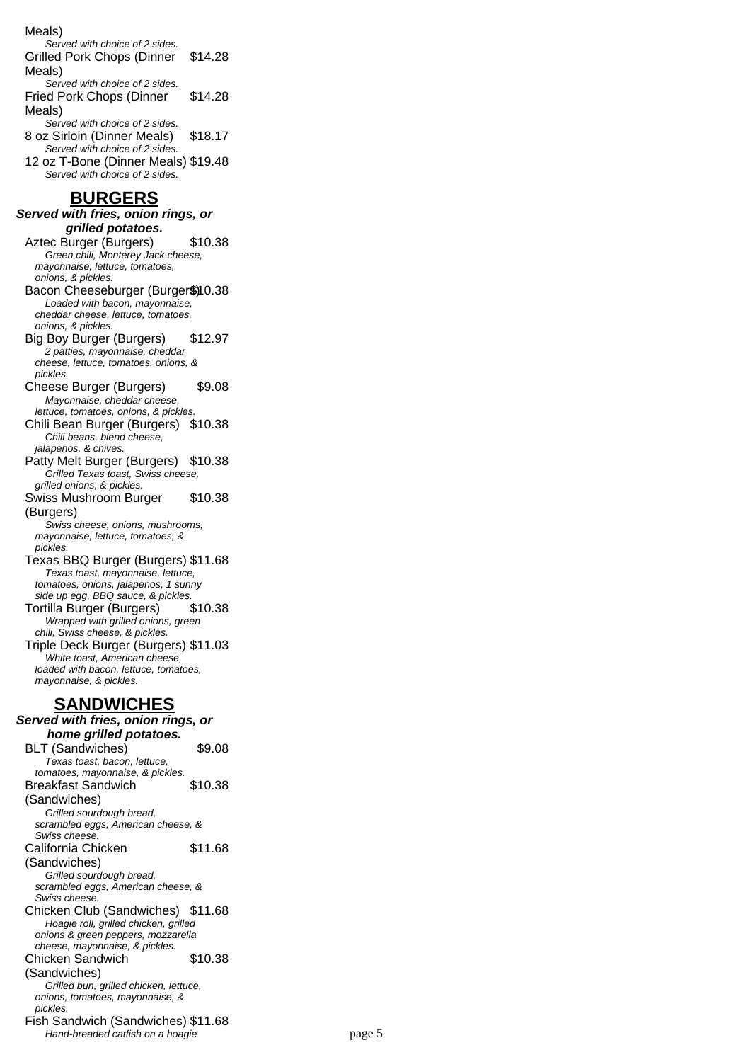#### Meals)

Served with choice of 2 sides. Grilled Pork Chops (Dinner Meals) \$14.28 Served with choice of 2 sides.

- Fried Pork Chops (Dinner Meals) \$14.28
- Served with choice of 2 sides. 8 oz Sirloin (Dinner Meals) \$18.17 Served with choice of 2 sides.
- 12 oz T-Bone (Dinner Meals) \$19.48 Served with choice of 2 sides.

### **BURGERS**

#### **Served with fries, onion rings, or grilled potatoes.**

Aztec Burger (Burgers) \$10.38 Green chili, Monterey Jack cheese, mayonnaise, lettuce, tomatoes,

- onions, & pickles. Bacon Cheeseburger (Burger\$)10.38 Loaded with bacon, mayonnaise, cheddar cheese, lettuce, tomatoes, onions, & pickles.
- Big Boy Burger (Burgers) \$12.97 2 patties, mayonnaise, cheddar cheese, lettuce, tomatoes, onions, & pickles.
- Cheese Burger (Burgers) \$9.08 Mayonnaise, cheddar cheese,
- lettuce, tomatoes, onions, & pickles. Chili Bean Burger (Burgers) \$10.38 Chili beans, blend cheese,
- jalapenos, & chives. Patty Melt Burger (Burgers) \$10.38 Grilled Texas toast, Swiss cheese,
- grilled onions, & pickles. Swiss Mushroom Burger (Burgers) \$10.38

Swiss cheese, onions, mushrooms, mayonnaise, lettuce, tomatoes, & pickles.

- Texas BBQ Burger (Burgers) \$11.68 Texas toast, mayonnaise, lettuce, tomatoes, onions, jalapenos, 1 sunny side up egg, BBQ sauce, & pickles. Tortilla Burger (Burgers) \$10.38
- Wrapped with grilled onions, green chili, Swiss cheese, & pickles.
- Triple Deck Burger (Burgers) \$11.03 White toast, American cheese, loaded with bacon, lettuce, tomatoes, mayonnaise, & pickles.

# **SANDWICHES**

#### **Served with fries, onion rings, or home grilled potatoes.** BLT (Sandwiches) \$9.08 Texas toast, bacon, lettuce, tomatoes, mayonnaise, & pickles.

Breakfast Sandwich (Sandwiches) \$10.38 Grilled sourdough bread, scrambled eggs, American cheese, & Swiss cheese. California Chicken (Sandwiches) \$11.68 Grilled sourdough bread, scrambled eggs, American cheese, & Swiss cheese. Chicken Club (Sandwiches) \$11.68 Hoagie roll, grilled chicken, grilled onions & green peppers, mozzarella cheese, mayonnaise, & pickles. Chicken Sandwich (Sandwiches) \$10.38 Grilled bun, grilled chicken, lettuce, onions, tomatoes, mayonnaise, & pickles.

Fish Sandwich (Sandwiches) \$11.68 Hand-breaded catfish on a hoagie page 5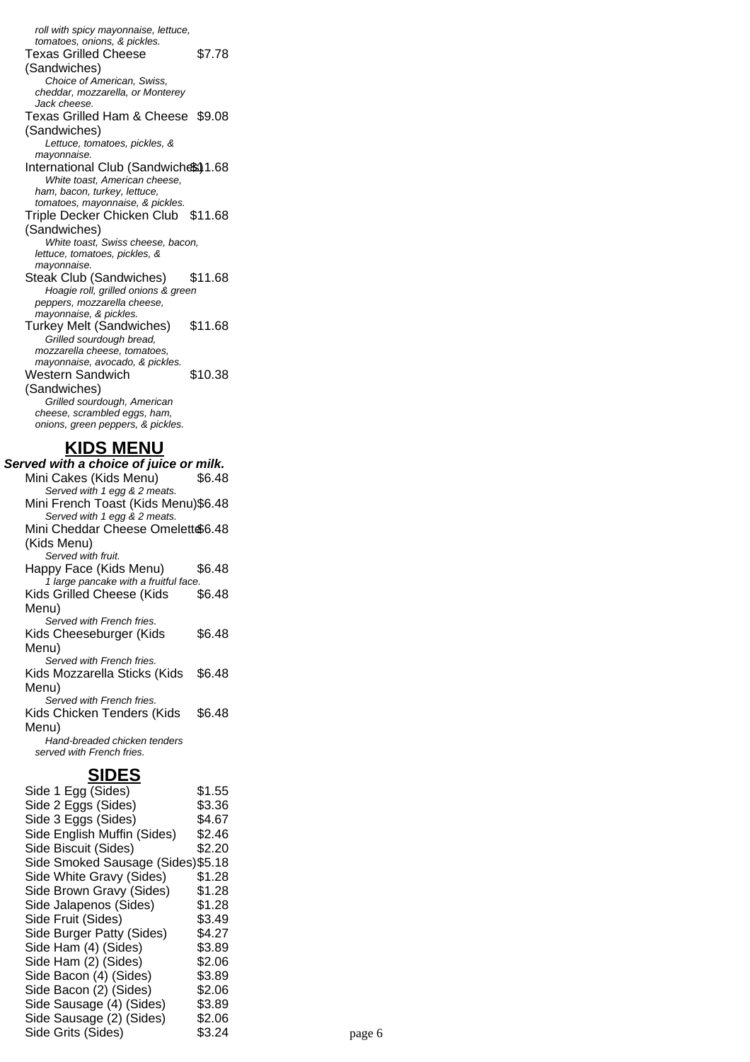roll with spicy mayonnaise, lettuce, tomatoes, onions, & pickles. Texas Grilled Cheese (Sandwiches) \$7.78 Choice of American, Swiss, cheddar, mozzarella, or Monterey Jack cheese. Texas Grilled Ham & Cheese \$9.08 (Sandwiches) Lettuce, tomatoes, pickles, & mayonnaise. International Club (Sandwiches) 1.68 White toast, American cheese, ham, bacon, turkey, lettuce, tomatoes, mayonnaise, & pickles. Triple Decker Chicken Club \$11.68 (Sandwiches) White toast, Swiss cheese, bacon, lettuce, tomatoes, pickles, & mayonnaise. Steak Club (Sandwiches) \$11.68 Hoagie roll, grilled onions & green peppers, mozzarella cheese, mayonnaise, & pickles. Turkey Melt (Sandwiches) \$11.68 Grilled sourdough bread, mozzarella cheese, tomatoes, mayonnaise, avocado, & pickles. Western Sandwich (Sandwiches) \$10.38 Grilled sourdough, American cheese, scrambled eggs, ham, onions, green peppers, & pickles.

# **KIDS MENU**

**Served with a choice of juice or milk.** Mini Cakes (Kids Menu) \$6.48 Served with 1 egg & 2 meats. Mini French Toast (Kids Menu)\$6.48 Served with 1 egg & 2 meats. Mini Cheddar Cheese Omelett \$6.48 (Kids Menu) Served with fruit. Happy Face (Kids Menu) \$6.48 1 large pancake with a fruitful face. Kids Grilled Cheese (Kids Menu) \$6.48 Served with French fries. Kids Cheeseburger (Kids Menu) \$6.48 Served with French fries. Kids Mozzarella Sticks (Kids Menu) \$6.48 Served with French fries. Kids Chicken Tenders (Kids Menu) \$6.48 Hand-breaded chicken tenders served with French fries.

# **SIDES**

| -----                              |        |        |  |
|------------------------------------|--------|--------|--|
| Side 1 Egg (Sides)                 | \$1.55 |        |  |
| Side 2 Eggs (Sides)                | \$3.36 |        |  |
| Side 3 Eggs (Sides)                | \$4.67 |        |  |
| Side English Muffin (Sides)        | \$2.46 |        |  |
| Side Biscuit (Sides)               | \$2.20 |        |  |
| Side Smoked Sausage (Sides) \$5.18 |        |        |  |
| Side White Gravy (Sides)           | \$1.28 |        |  |
| Side Brown Gravy (Sides)           | \$1.28 |        |  |
| Side Jalapenos (Sides)             | \$1.28 |        |  |
| Side Fruit (Sides)                 | \$3.49 |        |  |
| Side Burger Patty (Sides)          | \$4.27 |        |  |
| Side Ham (4) (Sides)               | \$3.89 |        |  |
| Side Ham (2) (Sides)               | \$2.06 |        |  |
| Side Bacon (4) (Sides)             | \$3.89 |        |  |
| Side Bacon (2) (Sides)             | \$2.06 |        |  |
| Side Sausage (4) (Sides)           | \$3.89 |        |  |
| Side Sausage (2) (Sides)           | \$2.06 |        |  |
| Side Grits (Sides)                 | \$3.24 | page 6 |  |